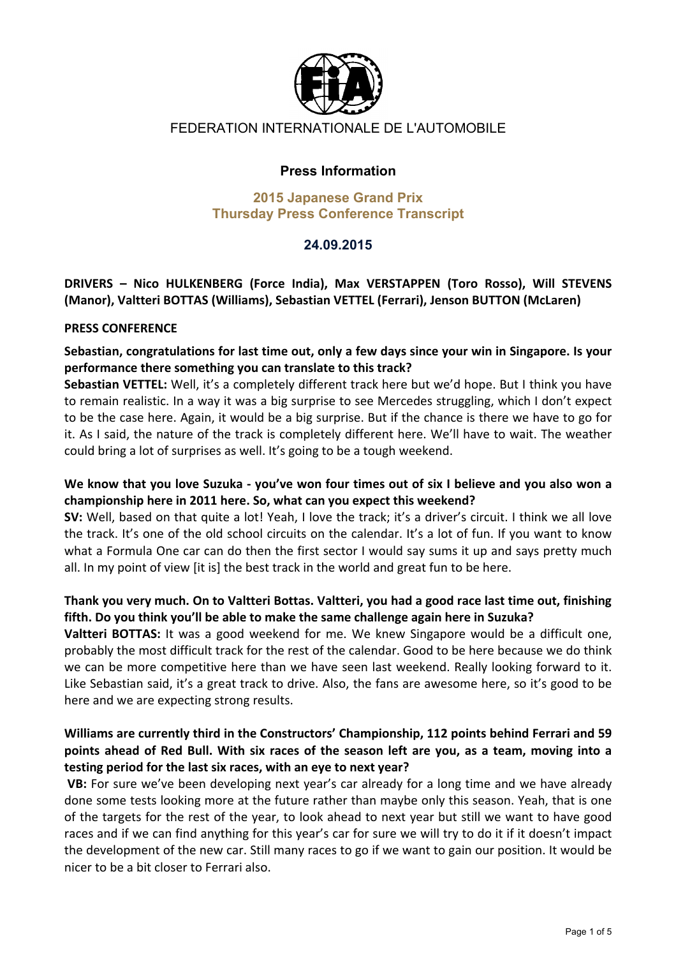

# FEDERATION INTERNATIONALE DE L'AUTOMOBILE

### **Press Information**

#### **2015 Japanese Grand Prix Thursday Press Conference Transcript**

### **24.09.2015**

**DRIVERS' – Nico' HULKENBERG' (Force' India),' Max' VERSTAPPEN' (Toro' Rosso),' Will' STEVENS'** (Manor), Valtteri BOTTAS (Williams), Sebastian VETTEL (Ferrari), Jenson BUTTON (McLaren)

#### **PRESS CONFERENCE**

Sebastian, congratulations for last time out, only a few days since your win in Singapore. Is your performance there something you can translate to this track?

Sebastian VETTEL: Well, it's a completely different track here but we'd hope. But I think you have to remain realistic. In a way it was a big surprise to see Mercedes struggling, which I don't expect to be the case here. Again, it would be a big surprise. But if the chance is there we have to go for it. As I said, the nature of the track is completely different here. We'll have to wait. The weather could bring a lot of surprises as well. It's going to be a tough weekend.

### We know that you love Suzuka - you've won four times out of six I believe and you also won a **championship'here'in'2011'here.'So,'what'can'you'expect'this'weekend?'**

**SV:** Well, based on that quite a lot! Yeah, I love the track; it's a driver's circuit. I think we all love the track. It's one of the old school circuits on the calendar. It's a lot of fun. If you want to know what a Formula One car can do then the first sector I would say sums it up and says pretty much all. In my point of view [it is] the best track in the world and great fun to be here.

### Thank you very much. On to Valtteri Bottas. Valtteri, you had a good race last time out, finishing **fifth.'Do'you'think'you'll'be'able'to'make'the'same'challenge'again'here'in'Suzuka?**

**Valtteri BOTTAS:** It was a good weekend for me. We knew Singapore would be a difficult one, probably the most difficult track for the rest of the calendar. Good to be here because we do think we can be more competitive here than we have seen last weekend. Really looking forward to it. Like Sebastian said, it's a great track to drive. Also, the fans are awesome here, so it's good to be here and we are expecting strong results.

### Williams are currently third in the Constructors' Championship, 112 points behind Ferrari and 59 **points' ahead' of' Red' Bull.'With' six' races' of' the' season' left' are' you, as' a' team,'moving' into' a'** testing period for the last six races, with an eye to next year?

VB: For sure we've been developing next year's car already for a long time and we have already done some tests looking more at the future rather than maybe only this season. Yeah, that is one of the targets for the rest of the year, to look ahead to next year but still we want to have good races and if we can find anything for this year's car for sure we will try to do it if it doesn't impact the development of the new car. Still many races to go if we want to gain our position. It would be nicer to be a bit closer to Ferrari also.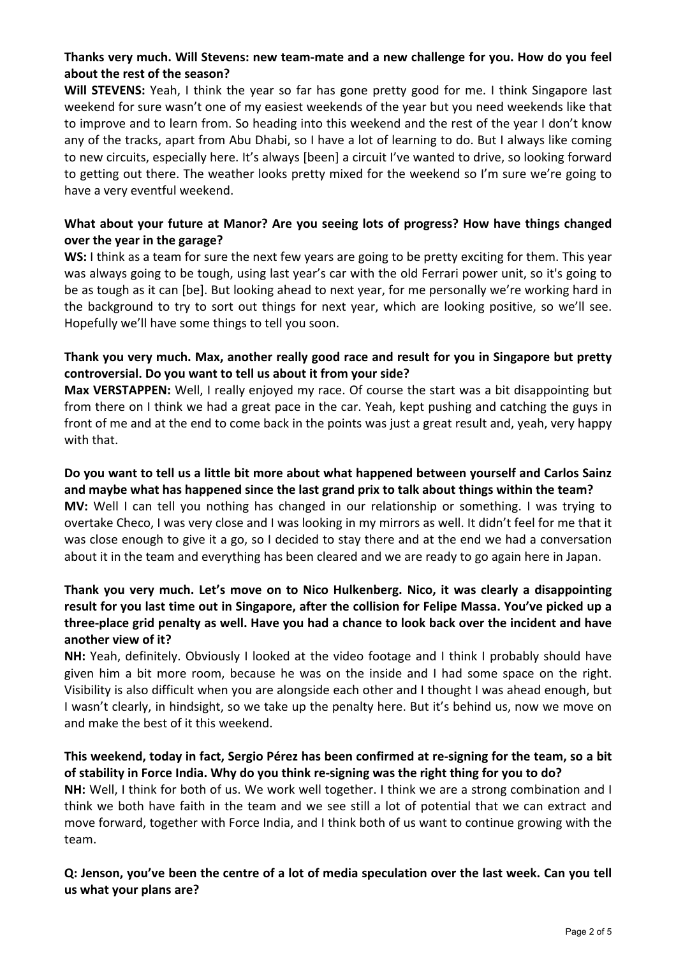## Thanks very much. Will Stevens: new team-mate and a new challenge for you. How do you feel about the rest of the season?

**Will STEVENS:** Yeah, I think the year so far has gone pretty good for me. I think Singapore last weekend for sure wasn't one of my easiest weekends of the year but you need weekends like that to improve and to learn from. So heading into this weekend and the rest of the year I don't know any of the tracks, apart from Abu Dhabi, so I have a lot of learning to do. But I always like coming to new circuits, especially here. It's always [been] a circuit I've wanted to drive, so looking forward to getting out there. The weather looks pretty mixed for the weekend so I'm sure we're going to have a very eventful weekend.

## What about your future at Manor? Are you seeing lots of progress? How have things changed **over the year in the garage?**

**WS:** I think as a team for sure the next few years are going to be pretty exciting for them. This year was always going to be tough, using last year's car with the old Ferrari power unit, so it's going to be as tough as it can [be]. But looking ahead to next year, for me personally we're working hard in the background to try to sort out things for next year, which are looking positive, so we'll see. Hopefully we'll have some things to tell you soon.

### Thank you very much. Max, another really good race and result for you in Singapore but pretty **controversial.'Do'you'want'to'tell'us'about'it'from'your'side?**

Max VERSTAPPEN: Well, I really enjoyed my race. Of course the start was a bit disappointing but from there on I think we had a great pace in the car. Yeah, kept pushing and catching the guys in front of me and at the end to come back in the points was just a great result and, yeah, very happy with that.

### Do you want to tell us a little bit more about what happened between yourself and Carlos Sainz and maybe what has happened since the last grand prix to talk about things within the team? **MV:** Well I can tell you nothing has changed in our relationship or something. I was trying to overtake Checo, I was very close and I was looking in my mirrors as well. It didn't feel for me that it

was close enough to give it a go, so I decided to stay there and at the end we had a conversation about it in the team and everything has been cleared and we are ready to go again here in Japan.

## Thank you very much. Let's move on to Nico Hulkenberg. Nico, it was clearly a disappointing result for you last time out in Singapore, after the collision for Felipe Massa. You've picked up a three-place grid penalty as well. Have you had a chance to look back over the incident and have another view of it?

**NH:** Yeah, definitely. Obviously I looked at the video footage and I think I probably should have given him a bit more room, because he was on the inside and I had some space on the right. Visibility is also difficult when you are alongside each other and I thought I was ahead enough, but I wasn't clearly, in hindsight, so we take up the penalty here. But it's behind us, now we move on and make the best of it this weekend.

### This weekend, today in fact, Sergio Pérez has been confirmed at re-signing for the team, so a bit of stability in Force India. Why do you think re-signing was the right thing for you to do?

**NH:** Well, I think for both of us. We work well together. I think we are a strong combination and I think we both have faith in the team and we see still a lot of potential that we can extract and move forward, together with Force India, and I think both of us want to continue growing with the team.

## **Q: Jenson, you've been the centre of a lot of media speculation over the last week. Can you tell us'what'your'plans'are?**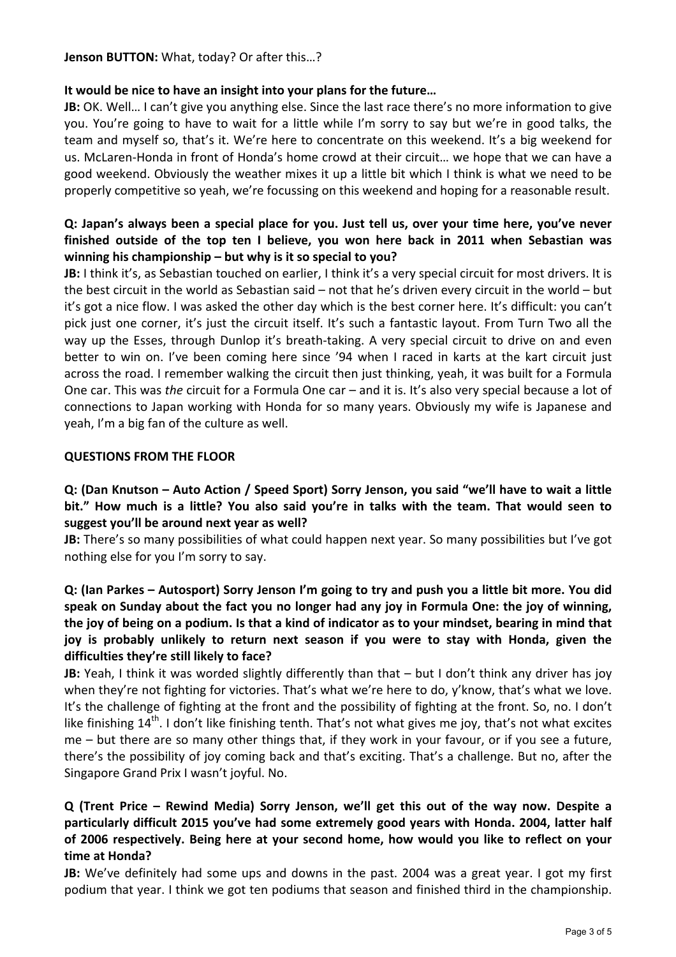**Jenson BUTTON:** What, today? Or after this...?

### It would be nice to have an insight into your plans for the future...

**JB:** OK. Well... I can't give you anything else. Since the last race there's no more information to give you. You're going to have to wait for a little while I'm sorry to say but we're in good talks, the team and myself so, that's it. We're here to concentrate on this weekend. It's a big weekend for us. McLaren-Honda in front of Honda's home crowd at their circuit... we hope that we can have a good weekend. Obviously the weather mixes it up a little bit which I think is what we need to be properly competitive so yeah, we're focussing on this weekend and hoping for a reasonable result.

## **Q:** Japan's always been a special place for you. Just tell us, over your time here, you've never finished outside of the top ten I believe, you won here back in 2011 when Sebastian was **winning his championship – but why is it so special to you?**

**JB:** I think it's, as Sebastian touched on earlier, I think it's a very special circuit for most drivers. It is the best circuit in the world as Sebastian said – not that he's driven every circuit in the world – but it's got a nice flow. I was asked the other day which is the best corner here. It's difficult: you can't pick just one corner, it's just the circuit itself. It's such a fantastic layout. From Turn Two all the way up the Esses, through Dunlop it's breath-taking. A very special circuit to drive on and even better to win on. I've been coming here since '94 when I raced in karts at the kart circuit just across the road. I remember walking the circuit then just thinking, yeah, it was built for a Formula One car. This was *the* circuit for a Formula One car – and it is. It's also very special because a lot of connections to Japan working with Honda for so many years. Obviously my wife is Japanese and yeah, I'm a big fan of the culture as well.

### **QUESTIONS FROM THE FLOOR**

**Q: (Dan Knutson – Auto Action / Speed Sport) Sorry Jenson, you said "we'll have to wait a little** bit." How much is a little? You also said you're in talks with the team. That would seen to suggest you'll be around next year as well?

**JB:** There's so many possibilities of what could happen next year. So many possibilities but I've got nothing else for you I'm sorry to say.

**Q: (Ian'Parkes'– Autosport)'Sorry'Jenson'I'm'going'to'try'and'push'you'a'little'bit'more.'You'did'** speak on Sunday about the fact you no longer had any joy in Formula One: the joy of winning, the joy of being on a podium. Is that a kind of indicator as to your mindset, bearing in mind that joy is probably unlikely to return next season if you were to stay with Honda, given the difficulties they're still likely to face?

**JB:** Yeah, I think it was worded slightly differently than that – but I don't think any driver has joy when they're not fighting for victories. That's what we're here to do, y'know, that's what we love. It's the challenge of fighting at the front and the possibility of fighting at the front. So, no. I don't like finishing  $14<sup>th</sup>$ . I don't like finishing tenth. That's not what gives me joy, that's not what excites me – but there are so many other things that, if they work in your favour, or if you see a future, there's the possibility of joy coming back and that's exciting. That's a challenge. But no, after the Singapore Grand Prix I wasn't joyful. No.

# **Q' (Trent' Price' – Rewind' Media)' Sorry' Jenson,' we'll' get' this' out' of' the' way' now.' Despite' a'** particularly difficult 2015 you've had some extremely good years with Honda. 2004, latter half **of' 2006' respectively.' Being' here'at'your' second' home,' how'would'you'like' to' reflect' on'your'** time at Honda?

**JB:** We've definitely had some ups and downs in the past. 2004 was a great year. I got my first podium that year. I think we got ten podiums that season and finished third in the championship.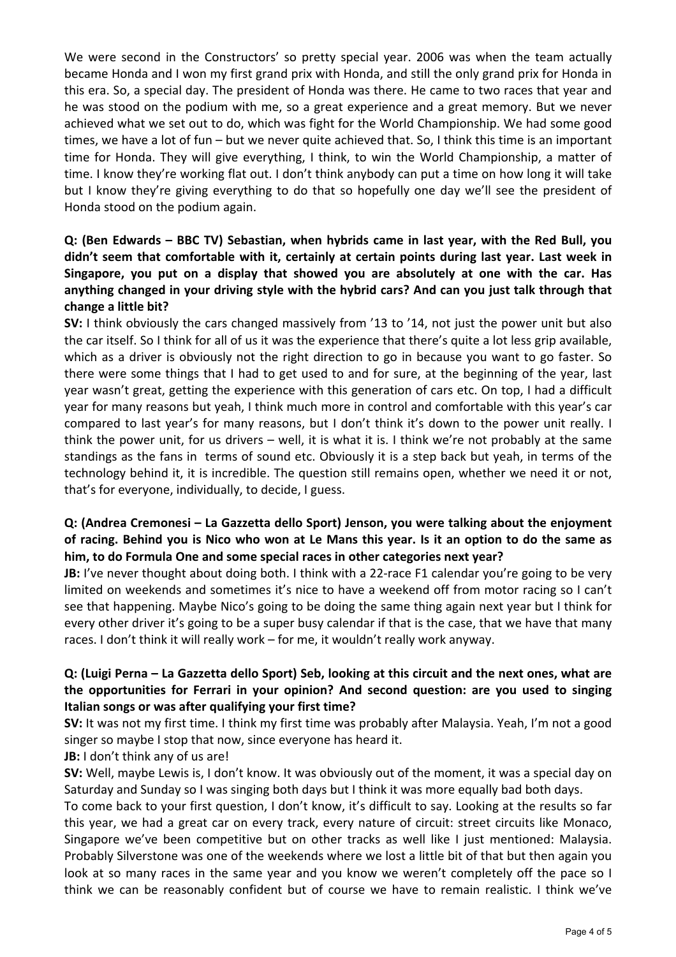We were second in the Constructors' so pretty special year. 2006 was when the team actually became Honda and I won my first grand prix with Honda, and still the only grand prix for Honda in this era. So, a special day. The president of Honda was there. He came to two races that year and he was stood on the podium with me, so a great experience and a great memory. But we never achieved what we set out to do, which was fight for the World Championship. We had some good times, we have a lot of fun – but we never quite achieved that. So, I think this time is an important time for Honda. They will give everything, I think, to win the World Championship, a matter of time. I know they're working flat out. I don't think anybody can put a time on how long it will take but I know they're giving everything to do that so hopefully one day we'll see the president of Honda stood on the podium again.

## **Q: (Ben Edwards – BBC TV) Sebastian, when hybrids came in last year, with the Red Bull, you** didn't seem that comfortable with it, certainly at certain points during last year. Last week in Singapore, you put on a display that showed you are absolutely at one with the car. Has anything changed in your driving style with the hybrid cars? And can you just talk through that change a little bit?

**SV:** I think obviously the cars changed massively from '13 to '14, not just the power unit but also the car itself. So I think for all of us it was the experience that there's quite a lot less grip available, which as a driver is obviously not the right direction to go in because you want to go faster. So there were some things that I had to get used to and for sure, at the beginning of the year, last year wasn't great, getting the experience with this generation of cars etc. On top, I had a difficult year for many reasons but yeah, I think much more in control and comfortable with this year's car compared to last year's for many reasons, but I don't think it's down to the power unit really. I think the power unit, for us drivers – well, it is what it is. I think we're not probably at the same standings as the fans in terms of sound etc. Obviously it is a step back but yeah, in terms of the technology behind it, it is incredible. The question still remains open, whether we need it or not, that's for everyone, individually, to decide, I guess.

# **Q:'(Andrea'Cremonesi'– La'Gazzetta'dello'Sport)'Jenson,'you'were'talking'about'the'enjoyment'** of racing. Behind you is Nico who won at Le Mans this year. Is it an option to do the same as him, to do Formula One and some special races in other categories next year?

**JB:** I've never thought about doing both. I think with a 22-race F1 calendar you're going to be very limited on weekends and sometimes it's nice to have a weekend off from motor racing so I can't see that happening. Maybe Nico's going to be doing the same thing again next year but I think for every other driver it's going to be a super busy calendar if that is the case, that we have that many races. I don't think it will really work – for me, it wouldn't really work anyway.

## **Q: (Luigi Perna - La Gazzetta dello Sport) Seb, looking at this circuit and the next ones, what are** the opportunities for Ferrari in your opinion? And second question: are you used to singing **Italian songs or was after qualifying your first time?**

**SV:** It was not my first time. I think my first time was probably after Malaysia. Yeah, I'm not a good singer so maybe I stop that now, since everyone has heard it.

### **JB:** I don't think any of us are!

**SV:** Well, maybe Lewis is, I don't know. It was obviously out of the moment, it was a special day on Saturday and Sunday so I was singing both days but I think it was more equally bad both days.

To come back to your first question, I don't know, it's difficult to say. Looking at the results so far this year, we had a great car on every track, every nature of circuit: street circuits like Monaco, Singapore we've been competitive but on other tracks as well like I just mentioned: Malaysia. Probably Silverstone was one of the weekends where we lost a little bit of that but then again you look at so many races in the same year and you know we weren't completely off the pace so I think we can be reasonably confident but of course we have to remain realistic. I think we've